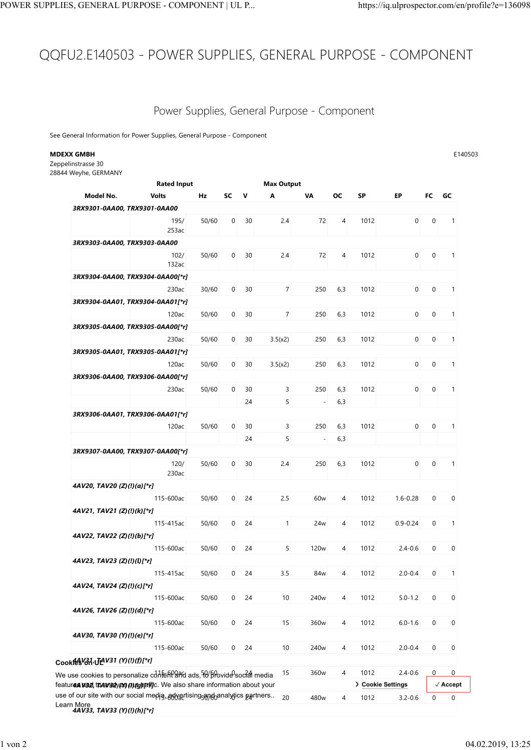## QQFU2.E140503 - POWER SUPPLIES, GENERAL PURPOSE - COMPONENT POWER SUPPLIES, GENERAL PURPOSE - COMPONENT | UL P... https://iq.ulprospector.com/en/profile?e=136098

## Power Supplies, General Purpose - Component

## **MDEXX GMBH** E140503

| PLIES, GENERAL PURPOSE - COMPONENT   UL P                                                                                                               |       |                |              |                                             |                  |                |      | https://iq.ulprospector.com/en/profile?e=136098 |                |                          |
|---------------------------------------------------------------------------------------------------------------------------------------------------------|-------|----------------|--------------|---------------------------------------------|------------------|----------------|------|-------------------------------------------------|----------------|--------------------------|
|                                                                                                                                                         |       |                |              |                                             |                  |                |      |                                                 |                |                          |
| QFU2.E140503 - POWER SUPPLIES, GENERAL PURPOSE - COMPONENT                                                                                              |       |                |              |                                             |                  |                |      |                                                 |                |                          |
|                                                                                                                                                         |       |                |              |                                             |                  |                |      |                                                 |                |                          |
|                                                                                                                                                         |       |                |              |                                             |                  |                |      |                                                 |                |                          |
|                                                                                                                                                         |       |                |              | Power Supplies, General Purpose - Component |                  |                |      |                                                 |                |                          |
| See General Information for Power Supplies, General Purpose - Component                                                                                 |       |                |              |                                             |                  |                |      |                                                 |                |                          |
| MDEXX GMBH                                                                                                                                              |       |                |              |                                             |                  |                |      |                                                 |                | E140503                  |
| Zeppelinstrasse 30<br>28844 Weyhe, GERMANY                                                                                                              |       |                |              |                                             |                  |                |      |                                                 |                |                          |
| <b>Rated Input</b><br>Model No.<br><b>Volts</b>                                                                                                         | Hz    | SC V           |              | <b>Max Output</b><br>A                      | VA               | OC.            | SP   | EP.                                             | FC GC          |                          |
| 3RX9301-0AA00, TRX9301-0AA00                                                                                                                            |       |                |              |                                             |                  |                |      |                                                 |                |                          |
| 195/<br>253ac                                                                                                                                           | 50/60 | 0              | 30           | 2.4                                         | 72               | $\overline{4}$ | 1012 | $\mathbf 0$                                     | $\mathbf 0$    | $\overline{1}$           |
| 3RX9303-0AA00, TRX9303-0AA00                                                                                                                            |       |                |              |                                             |                  |                |      |                                                 |                |                          |
| 102/<br>132ac                                                                                                                                           | 50/60 | 0              | 30           | 2.4                                         | 72               | 4              | 1012 | $\mathbf 0$                                     | 0              | $\overline{1}$           |
| 3RX9304-0AA00, TRX9304-0AA00[*r]                                                                                                                        |       |                |              |                                             |                  |                |      |                                                 |                |                          |
| 230ac<br>3RX9304-0AA01, TRX9304-0AA01[*r]                                                                                                               | 30/60 |                | $0\quad 30$  | $\overline{7}$                              | 250              | 6,3            | 1012 | $\overline{0}$                                  | $\mathbf{0}$   | $\overline{1}$           |
| 120ac                                                                                                                                                   | 50/60 |                | $0\quad 30$  | $\overline{7}$                              | 250              | 6,3            | 1012 | $\overline{0}$                                  | $\overline{0}$ | $\overline{1}$           |
| 3RX9305-0AA00, TRX9305-0AA00[*r]                                                                                                                        |       |                |              |                                             |                  |                |      |                                                 |                |                          |
| 230ac<br>3RX9305-0AA01, TRX9305-0AA01[*r]                                                                                                               | 50/60 |                | $0\qquad 30$ | 3.5(x2)                                     |                  | 250 6,3        | 1012 |                                                 | $0 \t 0 \t 1$  |                          |
| 120ac                                                                                                                                                   | 50/60 |                | $0\quad 30$  | 3.5(x2)                                     | 250              | 6,3            | 1012 | $\overline{0}$                                  | $\overline{0}$ | $\overline{1}$           |
| 3RX9306-0AA00, TRX9306-0AA00[*r]<br>230ac                                                                                                               | 50/60 | $\overline{0}$ | 30           | 3                                           | 250              | 6,3            | 1012 | $\overline{0}$                                  | $\overline{0}$ | $\overline{1}$           |
|                                                                                                                                                         |       |                | 24           | 5                                           | $\sim$           | 6,3            |      |                                                 |                |                          |
| 3RX9306-0AA01, TRX9306-0AA01[*r]                                                                                                                        |       |                |              |                                             |                  |                |      |                                                 |                |                          |
| 120ac                                                                                                                                                   | 50/60 | $\mathbf 0$    | 30<br>24     | 3<br>5                                      | 250<br>$\sim$    | 6,3<br>6,3     | 1012 | $\overline{0}$                                  | $\overline{0}$ | $\overline{1}$           |
| 3RX9307-0AA00, TRX9307-0AA00[*r]                                                                                                                        |       |                |              |                                             |                  |                |      |                                                 |                |                          |
| 120/<br>230ac                                                                                                                                           | 50/60 | $\mathbf 0$    | 30           | 2.4                                         | 250              | 6,3            | 1012 | $\mathbf 0$                                     | $\mathbf 0$    | $\overline{1}$           |
| 4AV20, TAV20 (Z)(!)(a)[*r]                                                                                                                              |       |                |              |                                             |                  |                |      |                                                 |                |                          |
| 115-600ac<br>4AV21, TAV21 (Z)(!)(k)[*r]                                                                                                                 | 50/60 | $\mathbf{0}$   | 24           | 2.5                                         | 60w              | 4              | 1012 | $1.6 - 0.28$                                    | $\mathbf 0$    | $\mathbf 0$              |
| 115-415ac                                                                                                                                               | 50/60 |                | $0\quad 24$  | $\mathbf{1}$                                | 24 <sub>w</sub>  | $\overline{4}$ | 1012 | $0.9 - 0.24$                                    | $\mathbf 0$    | $\overline{1}$           |
| 4AV22, TAV22 (Z)(!)(b)[*r]<br>115-600ac                                                                                                                 | 50/60 | $\overline{0}$ | 24           | 5                                           | 120 <sub>w</sub> | $\overline{4}$ | 1012 | $2.4 - 0.6$                                     | $\mathbf 0$    | $\mathbf 0$              |
| 4AV23, TAV23 (Z)(!)(l)[*r]                                                                                                                              |       |                |              |                                             |                  |                |      |                                                 |                |                          |
| 115-415ac                                                                                                                                               | 50/60 | $\mathbf 0$    | 24           | 3.5                                         | 84w              | $\overline{4}$ | 1012 | $2.0 - 0.4$                                     | $\mathbf 0$    | $\overline{1}$           |
| 4AV24, TAV24 (Z)(!)(c)[*r]<br>115-600ac                                                                                                                 | 50/60 | $\overline{0}$ | 24           | 10                                          | 240 <sub>w</sub> | $\overline{4}$ | 1012 | $5.0 - 1.2$                                     | $\mathbf 0$    | $\overline{0}$           |
| 4AV26, TAV26 (Z)(!)(d)[*r]                                                                                                                              |       |                |              |                                             |                  |                |      |                                                 |                |                          |
| 115-600ac<br>4AV30, TAV30 (Y)(!)(e)[*r]                                                                                                                 | 50/60 | $\overline{0}$ | 24           | 15                                          | 360w             | $\overline{4}$ | 1012 | $6.0 - 1.6$                                     | $\mathbf 0$    | $\mathbf 0$              |
| 115-600ac                                                                                                                                               | 50/60 | $\overline{0}$ | 24           | 10                                          | 240 <sub>w</sub> | 4              | 1012 | $2.0 - 0.4$                                     | $\mathbf 0$    | $\overline{0}$           |
| Cook 14 V31, JAV31 (Y)(!)(f)[*r]                                                                                                                        |       |                |              |                                             | 360w             | $\overline{4}$ | 1012 | $2.4 - 0.6$                                     | $\overline{0}$ | $\overline{0}$           |
| We use cookies to personalize content ads, $\frac{1}{2}$ provide social media<br>featurea use, their eyes curging the clso share information about your |       |                |              | 15                                          |                  |                |      | > Cookie Settings                               |                | $\sqrt{\mathsf{Accept}}$ |
| use of our site with our social media. advertising-analytics partners 20                                                                                |       |                |              |                                             | 480w             | $\overline{4}$ | 1012 | $3.2 - 0.6$                                     | $\overline{0}$ | $\mathbf 0$              |